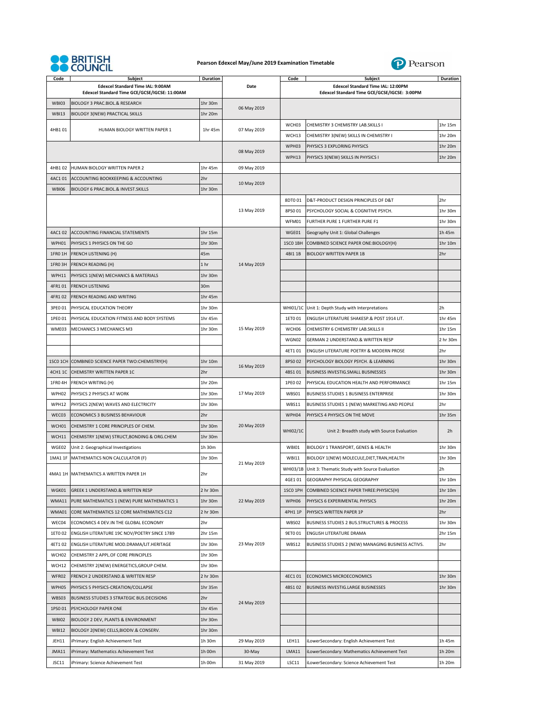

## **Pearson Edexcel May/June 2019 Examination Timetable**



| Code         | <b>Subject</b>                                                                     | Duration |             | Code            | <b>Subject</b>                                                                     | Duration |
|--------------|------------------------------------------------------------------------------------|----------|-------------|-----------------|------------------------------------------------------------------------------------|----------|
|              | Edexcel Standard Time IAL: 9:00AM<br>Edexcel Standard Time GCE/GCSE/IGCSE: 11:00AM |          | Date        |                 | Edexcel Standard Time IAL: 12:00PM<br>Edexcel Standard Time GCE/GCSE/IGCSE: 3:00PM |          |
| WBI03        | BIOLOGY 3 PRAC.BIOL.& RESEARCH                                                     | 1hr 30m  | 06 May 2019 |                 |                                                                                    |          |
| <b>WBI13</b> | <b>BIOLOGY 3(NEW) PRACTICAL SKILLS</b>                                             | 1hr 20m  |             |                 |                                                                                    |          |
| 4HB101       | HUMAN BIOLOGY WRITTEN PAPER 1                                                      | 1hr 45m  | 07 May 2019 | WCH03           | CHEMISTRY 3 CHEMISTRY LAB.SKILLS I                                                 | 1hr 15m  |
|              |                                                                                    |          |             | WCH13           | CHEMISTRY 3(NEW) SKILLS IN CHEMISTRY I                                             | 1hr 20m  |
|              |                                                                                    |          | 08 May 2019 | WPH03           | PHYSICS 3 EXPLORING PHYSICS                                                        | 1hr 20m  |
|              |                                                                                    |          |             | WPH13           | PHYSICS 3(NEW) SKILLS IN PHYSICS I                                                 | 1hr 20m  |
| 4HB102       | HUMAN BIOLOGY WRITTEN PAPER 2                                                      | 1hr 45m  | 09 May 2019 |                 |                                                                                    |          |
| 4AC101       | ACCOUNTING BOOKKEEPING & ACCOUNTING                                                | 2hr      | 10 May 2019 |                 |                                                                                    |          |
| <b>WBI06</b> | BIOLOGY 6 PRAC.BIOL.& INVEST.SKILLS                                                | 1hr 30m  |             |                 |                                                                                    |          |
|              |                                                                                    |          |             | 8DT001          | D&T-PRODUCT DESIGN PRINCIPLES OF D&T                                               | 2hr      |
|              |                                                                                    |          | 13 May 2019 | 8PS0 01         | PSYCHOLOGY SOCIAL & COGNITIVE PSYCH.                                               | 1hr 30m  |
|              |                                                                                    |          |             | WFM01           | FURTHER PURE 1 FURTHER PURE F1                                                     | 1hr 30m  |
| 4AC102       | ACCOUNTING FINANCIAL STATEMENTS                                                    | 1hr 15m  |             | WGE01           | Geography Unit 1: Global Challenges                                                | 1h 45m   |
| WPH01        | PHYSICS 1 PHYSICS ON THE GO                                                        | 1hr 30m  |             | 1SCO 1BH        | COMBINED SCIENCE PAPER ONE: BIOLOGY (H)                                            | 1hr 10m  |
| 1FRO 1H      | <b>FRENCH LISTENING (H)</b>                                                        | 45m      |             | 4BI1 1B         | <b>BIOLOGY WRITTEN PAPER 1B</b>                                                    | 2hr      |
| 1FRO 3H      | <b>FRENCH READING (H)</b>                                                          | 1 hr     | 14 May 2019 |                 |                                                                                    |          |
| WPH11        | PHYSICS 1(NEW) MECHANICS & MATERIALS                                               | 1hr 30m  |             |                 |                                                                                    |          |
| 4FR101       | <b>FRENCH LISTENING</b>                                                            | 30m      |             |                 |                                                                                    |          |
| 4FR102       | FRENCH READING AND WRITING                                                         | 1hr 45m  |             |                 |                                                                                    |          |
| 3PE0 01      | PHYSICAL EDUCATION THEORY                                                          | 1hr 30m  |             |                 | WHI01/1C Unit 1: Depth Study with Interpretations                                  | 2h       |
| 1PE0 01      | PHYSICAL EDUCATION FITNESS AND BODY SYSTEMS                                        | 1hr 45m  |             | 1ET0 01         | ENGLISH LITERATURE SHAKESP.& POST 1914 LIT.                                        | 1hr 45m  |
| WME03        | MECHANICS 3 MECHANICS M3                                                           | 1hr 30m  | 15 May 2019 | WCH06           | CHEMISTRY 6 CHEMISTRY LAB.SKILLS II                                                | 1hr 15m  |
|              |                                                                                    |          |             | WGN02           | GERMAN 2 UNDERSTAND.& WRITTEN RESP                                                 | 2 hr 30m |
|              |                                                                                    |          |             | 4ET101          | ENGLISH LITERATURE POETRY & MODERN PROSE                                           | 2hr      |
| 1SCO 1CH     | COMBINED SCIENCE PAPER TWO:CHEMISTRY(H)                                            | 1hr 10m  |             | 8PS0 02         | PSYCHOLOGY BIOLOGY PSYCH. & LEARNING                                               | 1hr 30m  |
| 4CH1 1C      | CHEMISTRY WRITTEN PAPER 1C                                                         | 2hr      | 16 May 2019 | 4BS101          | BUSINESS INVESTIG.SMALL BUSINESSES                                                 | 1hr 30m  |
| 1FRO 4H      | FRENCH WRITING (H)                                                                 | 1hr 20m  |             | 1PE0 02         | PHYSICAL EDUCATION HEALTH AND PERFORMANCE                                          | 1hr 15m  |
| WPH02        | PHYSICS 2 PHYSICS AT WORK                                                          | 1hr 30m  | 17 May 2019 | WBS01           | BUSINESS STUDIES 1 BUSINESS ENTERPRISE                                             | 1hr 30m  |
| WPH12        | PHYSICS 2(NEW) WAVES AND ELECTRICITY                                               | 1hr 30m  |             | WBS11           | BUSINESS STUDIES 1 (NEW) MARKETING AND PEOPLE                                      | 2hr      |
| WEC03        | ECONOMICS 3 BUSINESS BEHAVIOUR                                                     | 2hr      | 20 May 2019 | WPH04           | PHYSICS 4 PHYSICS ON THE MOVE                                                      | 1hr 35m  |
| WCH01        | CHEMISTRY 1 CORE PRINCIPLES OF CHEM.                                               | 1hr 30m  |             | <b>WHI02/1C</b> | Unit 2: Breadth study with Source Evaluation                                       | 2h       |
| WCH11        | CHEMISTRY 1(NEW) STRUCT, BONDING & ORG.CHEM                                        | 1hr 30m  |             |                 |                                                                                    |          |
| WGE02        | Unit 2: Geographical Investigations                                                | 1h 30m   |             | <b>WBI01</b>    | BIOLOGY 1 TRANSPORT, GENES & HEALTH                                                | 1hr 30m  |
| 1MA1 1F      | MATHEMATICS NON CALCULATOR (F)                                                     | 1hr 30m  | 21 May 2019 | <b>WBI11</b>    | BIOLOGY 1(NEW) MOLECULE, DIET, TRAN, HEALTH                                        | 1hr 30m  |
|              |                                                                                    |          |             | WHI03/1B        | Unit 3: Thematic Study with Source Evaluation                                      | 2h       |
| 4MA1 1H      | MATHEMATICS A WRITTEN PAPER 1H                                                     | 2hr      |             | 4GE101          | GEOGRAPHY PHYSICAL GEOGRAPHY                                                       | 1hr 10m  |
| WGK01        | GREEK 1 UNDERSTAND.& WRITTEN RESP                                                  | 2 hr 30m |             | 1SCO 1PH        | COMBINED SCIENCE PAPER THREE: PHYSICS (H)                                          | 1hr 10m  |
| WMA11        | PURE MATHEMATICS 1 (NEW) PURE MATHEMATICS 1                                        | 1hr 30m  | 22 May 2019 | WPH06           | PHYSICS 6 EXPERIMENTAL PHYSICS                                                     | 1hr 20m  |
| WMA01        | CORE MATHEMATICS 12 CORE MATHEMATICS C12                                           | 2 hr 30m |             | 4PH1 1P         | PHYSICS WRITTEN PAPER 1P                                                           | 2hr      |
| WEC04        | ECONOMICS 4 DEV.IN THE GLOBAL ECONOMY                                              | 2hr      |             | WBS02           | BUSINESS STUDIES 2 BUS.STRUCTURES & PROCESS                                        | 1hr 30m  |
| 1ET0 02      | ENGLISH LITERATURE 19C NOV/POETRY SINCE 1789                                       | 2hr 15m  |             | 9ET0 01         | ENGLISH LITERATURE DRAMA                                                           | 2hr 15m  |
| 4ET102       | ENGLISH LITERATURE MOD.DRAMA/LIT.HERITAGE                                          | 1hr 30m  | 23 May 2019 | WBS12           | BUSINESS STUDIES 2 (NEW) MANAGING BUSINESS ACTIVS.                                 | 2hr      |
| WCH02        | CHEMISTRY 2 APPL.OF CORE PRINCIPLES                                                | 1hr 30m  |             |                 |                                                                                    |          |
| WCH12        | CHEMISTRY 2(NEW) ENERGETICS, GROUP CHEM.                                           | 1hr 30m  |             |                 |                                                                                    |          |
| WFR02        |                                                                                    |          |             | 4EC101          | ECONOMICS MICROECONOMICS                                                           | 1hr 30m  |
|              | FRENCH 2 UNDERSTAND.& WRITTEN RESP<br>PHYSICS 5 PHYSICS-CREATION/COLLAPSE          | 2 hr 30m |             |                 |                                                                                    |          |
| WPH05        |                                                                                    | 1hr 35m  |             | 4BS102          | BUSINESS INVESTIG.LARGE BUSINESSES                                                 | 1hr 30m  |
| WBS03        | BUSINESS STUDIES 3 STRATEGIC BUS.DECISIONS                                         | 2hr      | 24 May 2019 |                 |                                                                                    |          |
| 1PS0 01      | PSYCHOLOGY PAPER ONE                                                               | 1hr 45m  |             |                 |                                                                                    |          |
| WBI02        | BIOLOGY 2 DEV, PLANTS & ENVIRONMENT                                                | 1hr 30m  |             |                 |                                                                                    |          |
| <b>WBI12</b> | BIOLOGY 2(NEW) CELLS, BIODIV.& CONSERV.                                            | 1hr 30m  |             |                 |                                                                                    |          |
| JEH11        | iPrimary: English Achievement Test                                                 | 1h 30m   | 29 May 2019 | LEH11           | iLowerSecondary: English Achievement Test                                          | 1h 45m   |
| JMA11        | iPrimary: Mathematics Achievement Test                                             | 1h 00m   | 30-May      | LMA11           | iLowerSecondary: Mathematics Achievement Test                                      | 1h 20m   |
| JSC11        | iPrimary: Science Achievement Test                                                 | 1h 00m   | 31 May 2019 | <b>LSC11</b>    | iLowerSecondary: Science Achievement Test                                          | 1h 20m   |